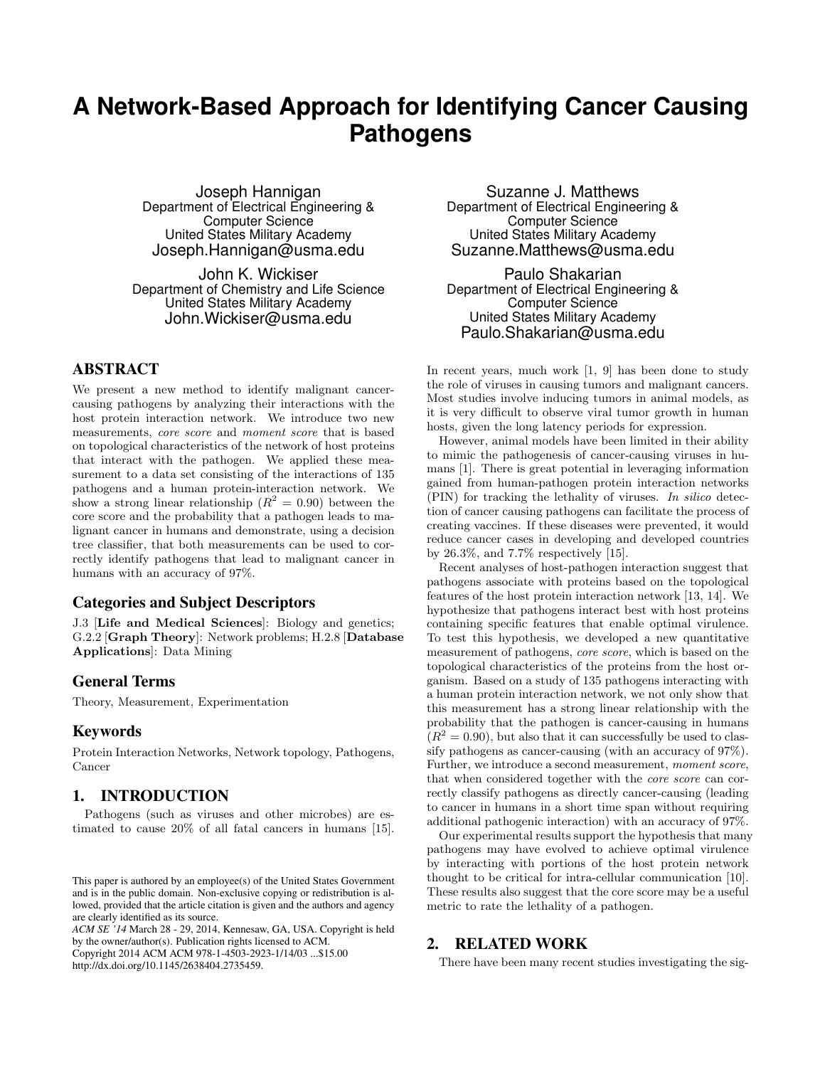# **A Network-Based Approach for Identifying Cancer Causing Pathogens**

Joseph Hannigan Department of Electrical Engineering & Computer Science United States Military Academy Joseph.Hannigan@usma.edu

John K. Wickiser Department of Chemistry and Life Science United States Military Academy John.Wickiser@usma.edu

## ABSTRACT

We present a new method to identify malignant cancercausing pathogens by analyzing their interactions with the host protein interaction network. We introduce two new measurements, core score and moment score that is based on topological characteristics of the network of host proteins that interact with the pathogen. We applied these measurement to a data set consisting of the interactions of 135 pathogens and a human protein-interaction network. We show a strong linear relationship  $(R^2 = 0.90)$  between the core score and the probability that a pathogen leads to malignant cancer in humans and demonstrate, using a decision tree classifier, that both measurements can be used to correctly identify pathogens that lead to malignant cancer in humans with an accuracy of 97%.

## Categories and Subject Descriptors

J.3 [Life and Medical Sciences]: Biology and genetics; G.2.2 [Graph Theory]: Network problems; H.2.8 [Database Applications]: Data Mining

## General Terms

Theory, Measurement, Experimentation

## Keywords

Protein Interaction Networks, Network topology, Pathogens, Cancer

# 1. INTRODUCTION

Pathogens (such as viruses and other microbes) are estimated to cause 20% of all fatal cancers in humans [15].

*ACM SE '14* March 28 - 29, 2014, Kennesaw, GA, USA. Copyright is held by the owner/author(s). Publication rights licensed to ACM.

Copyright 2014 ACM ACM 978-1-4503-2923-1/14/03 ...\$15.00 http://dx.doi.org/10.1145/2638404.2735459.

Suzanne J. Matthews Department of Electrical Engineering & Computer Science United States Military Academy Suzanne.Matthews@usma.edu

Paulo Shakarian Department of Electrical Engineering & Computer Science United States Military Academy Paulo.Shakarian@usma.edu

In recent years, much work [1, 9] has been done to study the role of viruses in causing tumors and malignant cancers. Most studies involve inducing tumors in animal models, as it is very difficult to observe viral tumor growth in human hosts, given the long latency periods for expression.

However, animal models have been limited in their ability to mimic the pathogenesis of cancer-causing viruses in humans [1]. There is great potential in leveraging information gained from human-pathogen protein interaction networks (PIN) for tracking the lethality of viruses. In silico detection of cancer causing pathogens can facilitate the process of creating vaccines. If these diseases were prevented, it would reduce cancer cases in developing and developed countries by 26.3%, and 7.7% respectively [15].

Recent analyses of host-pathogen interaction suggest that pathogens associate with proteins based on the topological features of the host protein interaction network [13, 14]. We hypothesize that pathogens interact best with host proteins containing specific features that enable optimal virulence. To test this hypothesis, we developed a new quantitative measurement of pathogens, core score, which is based on the topological characteristics of the proteins from the host organism. Based on a study of 135 pathogens interacting with a human protein interaction network, we not only show that this measurement has a strong linear relationship with the probability that the pathogen is cancer-causing in humans  $(R<sup>2</sup> = 0.90)$ , but also that it can successfully be used to classify pathogens as cancer-causing (with an accuracy of 97%). Further, we introduce a second measurement, moment score, that when considered together with the core score can correctly classify pathogens as directly cancer-causing (leading to cancer in humans in a short time span without requiring additional pathogenic interaction) with an accuracy of 97%.

Our experimental results support the hypothesis that many pathogens may have evolved to achieve optimal virulence by interacting with portions of the host protein network thought to be critical for intra-cellular communication [10]. These results also suggest that the core score may be a useful metric to rate the lethality of a pathogen.

# 2. RELATED WORK

There have been many recent studies investigating the sig-

This paper is authored by an employee(s) of the United States Government and is in the public domain. Non-exclusive copying or redistribution is allowed, provided that the article citation is given and the authors and agency are clearly identified as its source.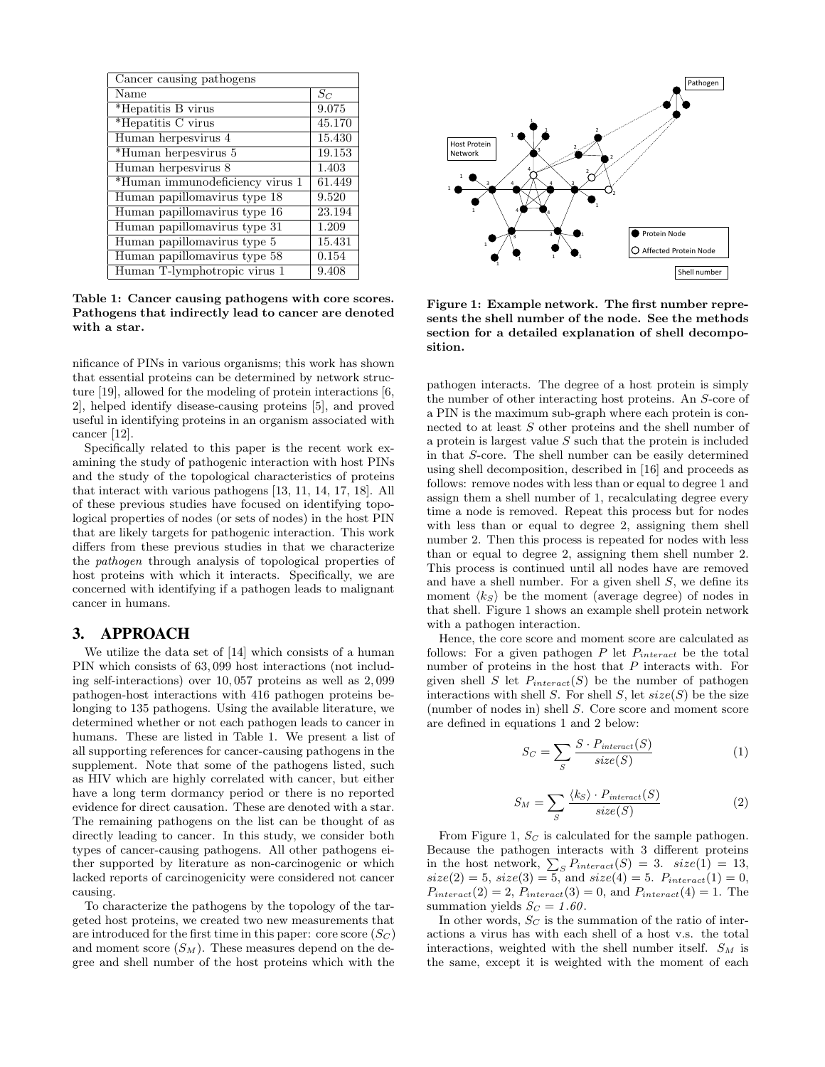| Cancer causing pathogens        |                    |
|---------------------------------|--------------------|
| Name                            | $S_C$              |
| *Hepatitis B virus              | 9.075              |
| *Hepatitis C virus              | 45.170             |
| Human herpesvirus 4             | 15.430             |
| *Human herpesvirus 5            | 19.153             |
| Human herpesvirus 8             | 1.403              |
| *Human immunodeficiency virus 1 | 61.449             |
| Human papillomavirus type 18    | 9.520              |
| Human papillomavirus type 16    | 23.194             |
| Human papillomavirus type 31    | 1.209              |
| Human papillomavirus type 5     | 15.431             |
| Human papillomavirus type 58    | 0.154              |
| Human T-lymphotropic virus 1    | $\overline{9.408}$ |

Table 1: Cancer causing pathogens with core scores. Pathogens that indirectly lead to cancer are denoted with a star.

nificance of PINs in various organisms; this work has shown that essential proteins can be determined by network structure [19], allowed for the modeling of protein interactions [6, 2], helped identify disease-causing proteins [5], and proved useful in identifying proteins in an organism associated with cancer [12].

Specifically related to this paper is the recent work examining the study of pathogenic interaction with host PINs and the study of the topological characteristics of proteins that interact with various pathogens [13, 11, 14, 17, 18]. All of these previous studies have focused on identifying topological properties of nodes (or sets of nodes) in the host PIN that are likely targets for pathogenic interaction. This work differs from these previous studies in that we characterize the pathogen through analysis of topological properties of host proteins with which it interacts. Specifically, we are concerned with identifying if a pathogen leads to malignant cancer in humans.

## 3. APPROACH

We utilize the data set of [14] which consists of a human PIN which consists of 63, 099 host interactions (not including self-interactions) over 10, 057 proteins as well as 2, 099 pathogen-host interactions with 416 pathogen proteins belonging to 135 pathogens. Using the available literature, we determined whether or not each pathogen leads to cancer in humans. These are listed in Table 1. We present a list of all supporting references for cancer-causing pathogens in the supplement. Note that some of the pathogens listed, such as HIV which are highly correlated with cancer, but either have a long term dormancy period or there is no reported evidence for direct causation. These are denoted with a star. The remaining pathogens on the list can be thought of as directly leading to cancer. In this study, we consider both types of cancer-causing pathogens. All other pathogens either supported by literature as non-carcinogenic or which lacked reports of carcinogenicity were considered not cancer causing.

To characterize the pathogens by the topology of the targeted host proteins, we created two new measurements that are introduced for the first time in this paper: core score  $(S_C)$ and moment score  $(S_M)$ . These measures depend on the degree and shell number of the host proteins which with the



Figure 1: Example network. The first number represents the shell number of the node. See the methods section for a detailed explanation of shell decomposition.

pathogen interacts. The degree of a host protein is simply the number of other interacting host proteins. An S-core of a PIN is the maximum sub-graph where each protein is connected to at least S other proteins and the shell number of a protein is largest value  $S$  such that the protein is included in that S-core. The shell number can be easily determined using shell decomposition, described in [16] and proceeds as follows: remove nodes with less than or equal to degree 1 and assign them a shell number of 1, recalculating degree every time a node is removed. Repeat this process but for nodes with less than or equal to degree 2, assigning them shell number 2. Then this process is repeated for nodes with less than or equal to degree 2, assigning them shell number 2. This process is continued until all nodes have are removed and have a shell number. For a given shell  $S$ , we define its moment  $\langle k_{S} \rangle$  be the moment (average degree) of nodes in that shell. Figure 1 shows an example shell protein network with a pathogen interaction.

Hence, the core score and moment score are calculated as follows: For a given pathogen  $P$  let  $P_{interact}$  be the total number of proteins in the host that P interacts with. For given shell S let  $P_{interact}(S)$  be the number of pathogen interactions with shell  $S$ . For shell  $S$ , let  $size(S)$  be the size (number of nodes in) shell S. Core score and moment score are defined in equations 1 and 2 below:

$$
S_C = \sum_{S} \frac{S \cdot P_{interact}(S)}{size(S)} \tag{1}
$$

$$
S_M = \sum_{S} \frac{\langle k_S \rangle \cdot P_{interact}(S)}{size(S)} \tag{2}
$$

From Figure 1,  $S_C$  is calculated for the sample pathogen. Because the pathogen interacts with 3 different proteins in the host network,  $\sum_{S} P_{interact}(S) = 3$ . size(1) = 13,  $size(2) = 5, size(3) = 5, and size(4) = 5.$   $P_{interact}(1) = 0,$  $P_{interact}(2) = 2$ ,  $P_{interact}(3) = 0$ , and  $P_{interact}(4) = 1$ . The summation yields  $S_C = 1.60$ .

In other words,  $S_C$  is the summation of the ratio of interactions a virus has with each shell of a host v.s. the total interactions, weighted with the shell number itself.  $S_M$  is the same, except it is weighted with the moment of each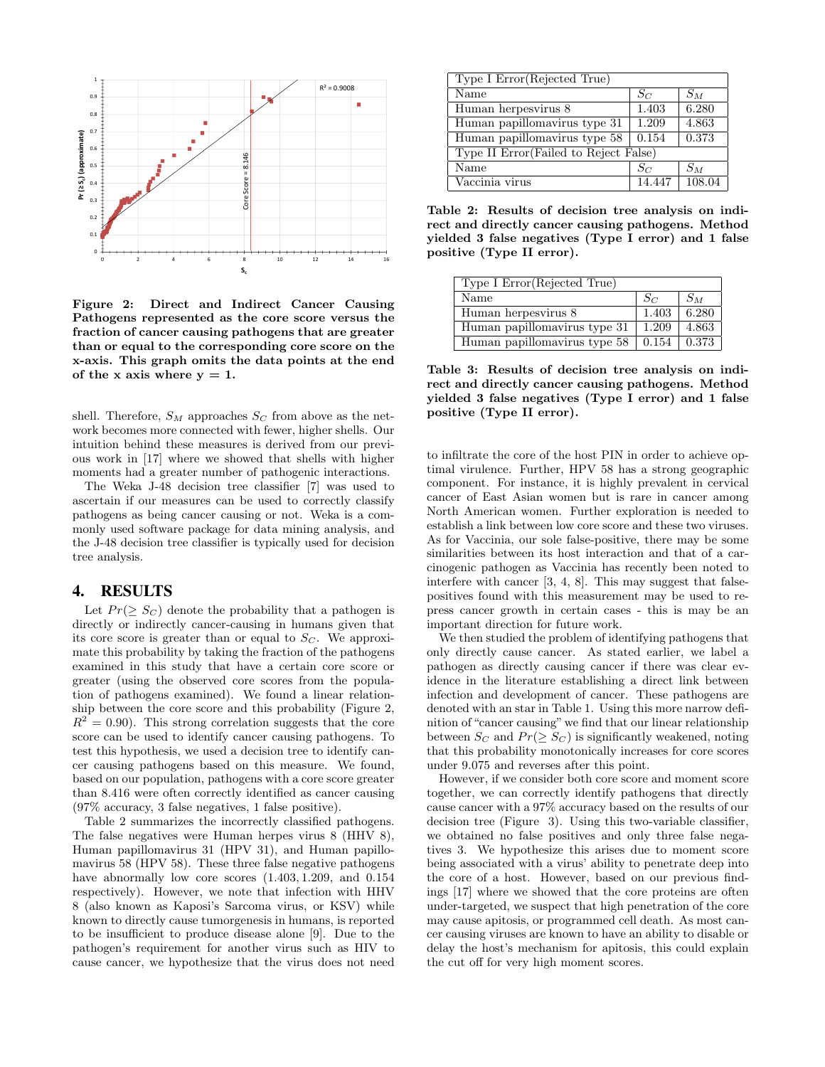

Figure 2: Direct and Indirect Cancer Causing Pathogens represented as the core score versus the fraction of cancer causing pathogens that are greater than or equal to the corresponding core score on the x-axis. This graph omits the data points at the end of the x axis where  $y = 1$ .

shell. Therefore,  $S_M$  approaches  $S_C$  from above as the network becomes more connected with fewer, higher shells. Our intuition behind these measures is derived from our previous work in [17] where we showed that shells with higher moments had a greater number of pathogenic interactions.

The Weka J-48 decision tree classifier [7] was used to ascertain if our measures can be used to correctly classify pathogens as being cancer causing or not. Weka is a commonly used software package for data mining analysis, and the J-48 decision tree classifier is typically used for decision tree analysis.

## 4. RESULTS

Let  $Pr(\geq S_C)$  denote the probability that a pathogen is directly or indirectly cancer-causing in humans given that its core score is greater than or equal to  $S<sub>C</sub>$ . We approximate this probability by taking the fraction of the pathogens examined in this study that have a certain core score or greater (using the observed core scores from the population of pathogens examined). We found a linear relationship between the core score and this probability (Figure 2,  $R^{2} = 0.90$ . This strong correlation suggests that the core score can be used to identify cancer causing pathogens. To test this hypothesis, we used a decision tree to identify cancer causing pathogens based on this measure. We found, based on our population, pathogens with a core score greater than 8.416 were often correctly identified as cancer causing (97% accuracy, 3 false negatives, 1 false positive).

Table 2 summarizes the incorrectly classified pathogens. The false negatives were Human herpes virus 8 (HHV 8), Human papillomavirus 31 (HPV 31), and Human papillomavirus 58 (HPV 58). These three false negative pathogens have abnormally low core scores  $(1.403, 1.209, \text{ and } 0.154)$ respectively). However, we note that infection with HHV 8 (also known as Kaposi's Sarcoma virus, or KSV) while known to directly cause tumorgenesis in humans, is reported to be insufficient to produce disease alone [9]. Due to the pathogen's requirement for another virus such as HIV to cause cancer, we hypothesize that the virus does not need

| Type I Error (Rejected True)           |        |        |
|----------------------------------------|--------|--------|
| Name                                   | $S_C$  | $S_M$  |
| Human herpesvirus 8                    | 1.403  | 6.280  |
| Human papillomavirus type 31           | 1.209  | 4.863  |
| Human papillomavirus type 58           | 0.154  | 0.373  |
| Type II Error (Failed to Reject False) |        |        |
| Name                                   | $S_C$  | $S_M$  |
| Vaccinia virus                         | 14.447 | 108.04 |

Table 2: Results of decision tree analysis on indirect and directly cancer causing pathogens. Method yielded 3 false negatives (Type I error) and 1 false positive (Type II error).

| Type I Error (Rejected True) |       |       |
|------------------------------|-------|-------|
| Name                         | $S_C$ | $S_M$ |
| Human herpesvirus 8          | 1.403 | 6.280 |
| Human papillomavirus type 31 | 1.209 | 4.863 |
| Human papillomavirus type 58 | 0.154 | 0.373 |

Table 3: Results of decision tree analysis on indirect and directly cancer causing pathogens. Method yielded 3 false negatives (Type I error) and 1 false positive (Type II error).

to infiltrate the core of the host PIN in order to achieve optimal virulence. Further, HPV 58 has a strong geographic component. For instance, it is highly prevalent in cervical cancer of East Asian women but is rare in cancer among North American women. Further exploration is needed to establish a link between low core score and these two viruses. As for Vaccinia, our sole false-positive, there may be some similarities between its host interaction and that of a carcinogenic pathogen as Vaccinia has recently been noted to interfere with cancer [3, 4, 8]. This may suggest that falsepositives found with this measurement may be used to repress cancer growth in certain cases - this is may be an important direction for future work.

We then studied the problem of identifying pathogens that only directly cause cancer. As stated earlier, we label a pathogen as directly causing cancer if there was clear evidence in the literature establishing a direct link between infection and development of cancer. These pathogens are denoted with an star in Table 1. Using this more narrow definition of "cancer causing" we find that our linear relationship between  $S_C$  and  $Pr(\geq S_C)$  is significantly weakened, noting that this probability monotonically increases for core scores under 9.075 and reverses after this point.

However, if we consider both core score and moment score together, we can correctly identify pathogens that directly cause cancer with a 97% accuracy based on the results of our decision tree (Figure 3). Using this two-variable classifier, we obtained no false positives and only three false negatives 3. We hypothesize this arises due to moment score being associated with a virus' ability to penetrate deep into the core of a host. However, based on our previous findings [17] where we showed that the core proteins are often under-targeted, we suspect that high penetration of the core may cause apitosis, or programmed cell death. As most cancer causing viruses are known to have an ability to disable or delay the host's mechanism for apitosis, this could explain the cut off for very high moment scores.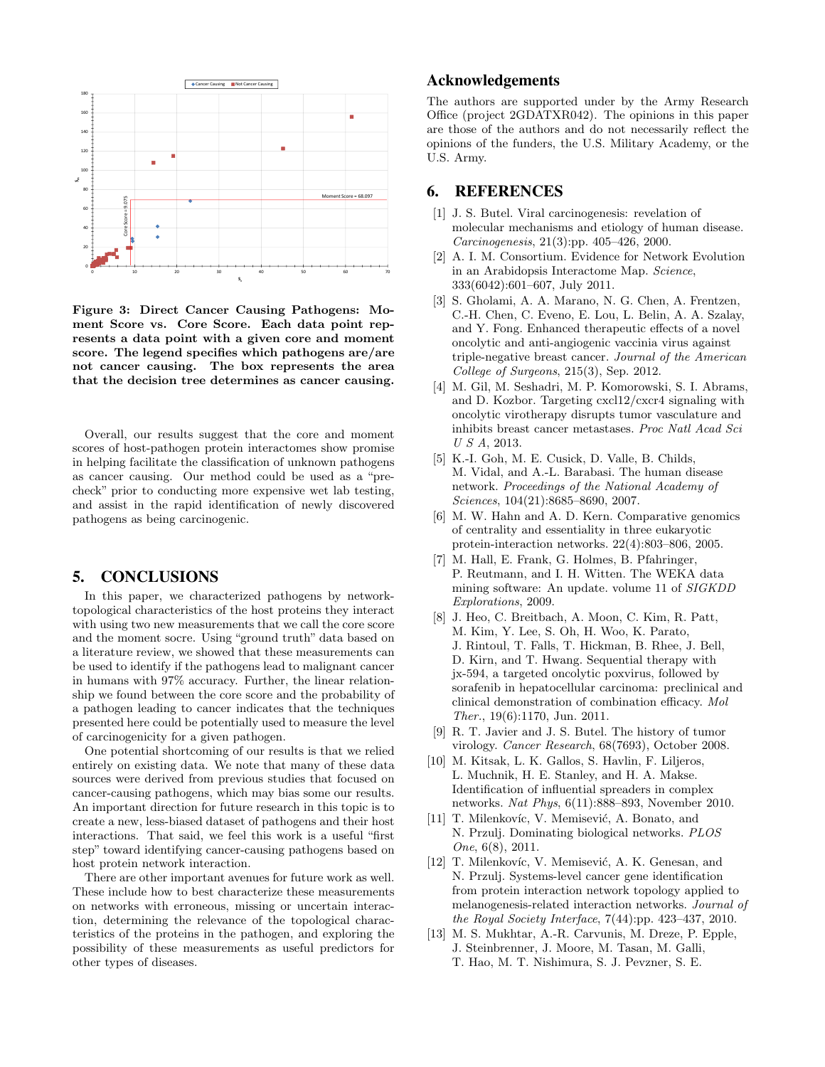

Figure 3: Direct Cancer Causing Pathogens: Moment Score vs. Core Score. Each data point represents a data point with a given core and moment score. The legend specifies which pathogens are/are not cancer causing. The box represents the area that the decision tree determines as cancer causing.

Overall, our results suggest that the core and moment scores of host-pathogen protein interactomes show promise in helping facilitate the classification of unknown pathogens as cancer causing. Our method could be used as a "precheck" prior to conducting more expensive wet lab testing, and assist in the rapid identification of newly discovered pathogens as being carcinogenic.

# 5. CONCLUSIONS

In this paper, we characterized pathogens by networktopological characteristics of the host proteins they interact with using two new measurements that we call the core score and the moment socre. Using "ground truth" data based on a literature review, we showed that these measurements can be used to identify if the pathogens lead to malignant cancer in humans with 97% accuracy. Further, the linear relationship we found between the core score and the probability of a pathogen leading to cancer indicates that the techniques presented here could be potentially used to measure the level of carcinogenicity for a given pathogen.

One potential shortcoming of our results is that we relied entirely on existing data. We note that many of these data sources were derived from previous studies that focused on cancer-causing pathogens, which may bias some our results. An important direction for future research in this topic is to create a new, less-biased dataset of pathogens and their host interactions. That said, we feel this work is a useful "first step" toward identifying cancer-causing pathogens based on host protein network interaction.

There are other important avenues for future work as well. These include how to best characterize these measurements on networks with erroneous, missing or uncertain interaction, determining the relevance of the topological characteristics of the proteins in the pathogen, and exploring the possibility of these measurements as useful predictors for other types of diseases.

# Acknowledgements

The authors are supported under by the Army Research Office (project 2GDATXR042). The opinions in this paper are those of the authors and do not necessarily reflect the opinions of the funders, the U.S. Military Academy, or the U.S. Army.

## 6. REFERENCES

- [1] J. S. Butel. Viral carcinogenesis: revelation of molecular mechanisms and etiology of human disease. Carcinogenesis, 21(3):pp. 405–426, 2000.
- [2] A. I. M. Consortium. Evidence for Network Evolution in an Arabidopsis Interactome Map. Science, 333(6042):601–607, July 2011.
- [3] S. Gholami, A. A. Marano, N. G. Chen, A. Frentzen, C.-H. Chen, C. Eveno, E. Lou, L. Belin, A. A. Szalay, and Y. Fong. Enhanced therapeutic effects of a novel oncolytic and anti-angiogenic vaccinia virus against triple-negative breast cancer. Journal of the American College of Surgeons, 215(3), Sep. 2012.
- [4] M. Gil, M. Seshadri, M. P. Komorowski, S. I. Abrams, and D. Kozbor. Targeting cxcl12/cxcr4 signaling with oncolytic virotherapy disrupts tumor vasculature and inhibits breast cancer metastases. Proc Natl Acad Sci U S A, 2013.
- [5] K.-I. Goh, M. E. Cusick, D. Valle, B. Childs, M. Vidal, and A.-L. Barabasi. The human disease network. Proceedings of the National Academy of Sciences, 104(21):8685–8690, 2007.
- [6] M. W. Hahn and A. D. Kern. Comparative genomics of centrality and essentiality in three eukaryotic protein-interaction networks. 22(4):803–806, 2005.
- [7] M. Hall, E. Frank, G. Holmes, B. Pfahringer, P. Reutmann, and I. H. Witten. The WEKA data mining software: An update. volume 11 of SIGKDD Explorations, 2009.
- [8] J. Heo, C. Breitbach, A. Moon, C. Kim, R. Patt, M. Kim, Y. Lee, S. Oh, H. Woo, K. Parato, J. Rintoul, T. Falls, T. Hickman, B. Rhee, J. Bell, D. Kirn, and T. Hwang. Sequential therapy with jx-594, a targeted oncolytic poxvirus, followed by sorafenib in hepatocellular carcinoma: preclinical and clinical demonstration of combination efficacy. Mol Ther., 19(6):1170, Jun. 2011.
- [9] R. T. Javier and J. S. Butel. The history of tumor virology. Cancer Research, 68(7693), October 2008.
- [10] M. Kitsak, L. K. Gallos, S. Havlin, F. Liljeros, L. Muchnik, H. E. Stanley, and H. A. Makse. Identification of influential spreaders in complex networks. Nat Phys, 6(11):888–893, November 2010.
- [11] T. Milenkovíc, V. Memisević, A. Bonato, and N. Przulj. Dominating biological networks. PLOS One, 6(8), 2011.
- [12] T. Milenkovíc, V. Memisević, A. K. Genesan, and N. Przulj. Systems-level cancer gene identification from protein interaction network topology applied to melanogenesis-related interaction networks. Journal of the Royal Society Interface, 7(44):pp. 423–437, 2010.
- [13] M. S. Mukhtar, A.-R. Carvunis, M. Dreze, P. Epple, J. Steinbrenner, J. Moore, M. Tasan, M. Galli, T. Hao, M. T. Nishimura, S. J. Pevzner, S. E.